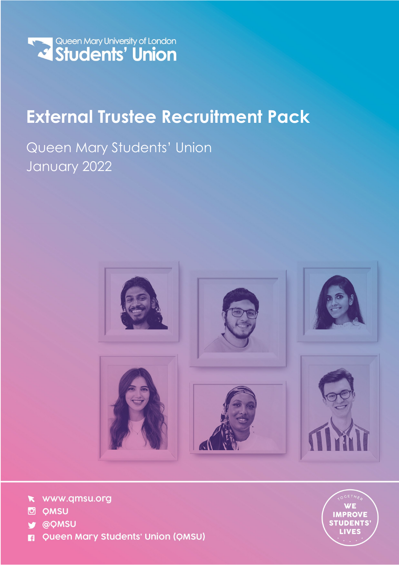

# **External Trustee Recruitment Pack**

### Queen Mary Students' Union January 2022



- www.qmsu.org  $\mathbf{K}$
- **D** OMSU
- @QMSU
- Queen Mary Students' Union (QMSU) П

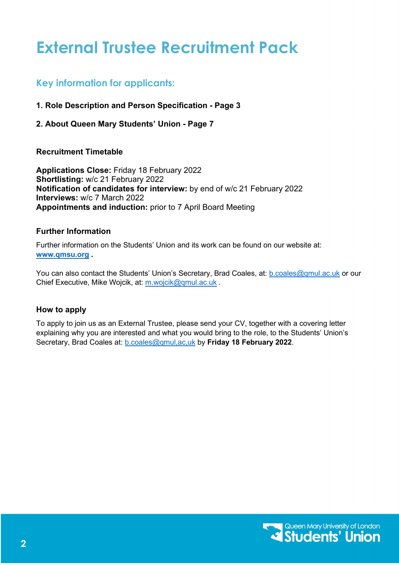### **External Trustee Recruitment Pack**

### **Key information for applicants:**

#### **1. Role Description and Person Specification - Page 3**

**2. About Queen Mary Students' Union - Page 7**

#### **Recruitment Timetable**

**Applications Close:** Friday 18 February 2022 **Shortlisting:** w/c 21 February 2022 **Notification of candidates for interview:** by end of w/c 21 February 2022 **Interviews:** w/c 7 March 2022 **Appointments and induction:** prior to 7 April Board Meeting

#### **Further Information**

Further information on the Students' Union and its work can be found on our website at: **[www.qmsu.org](http://www.qmsu.org/) .**

You can also contact the Students' Union's Secretary, Brad Coales, at: [b.coales@qmul.ac.uk](mailto:b.coales@qmul.ac.uk) or our Chief Executive, Mike Wojcik, at: [m.wojcik@qmul.ac.uk](mailto:m.wojcik@qmul.ac.uk) .

#### **How to apply**

To apply to join us as an External Trustee, please send your CV, together with a covering letter explaining why you are interested and what you would bring to the role, to the Students' Union's Secretary, Brad Coales at: [b.coales@qmul,ac,uk](mailto:b.coales@qmul,ac,uk) by **Friday 18 February 2022**.

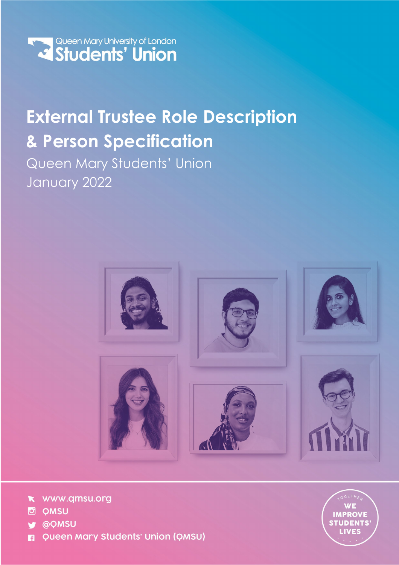

# **External Trustee Role Description & Person Specification**

Queen Mary Students' Union January 2022



- www.qmsu.org  $\blacktriangledown$
- **QMSU**  $\bullet$
- @QMSU
- Queen Mary Students' Union (QMSU) П

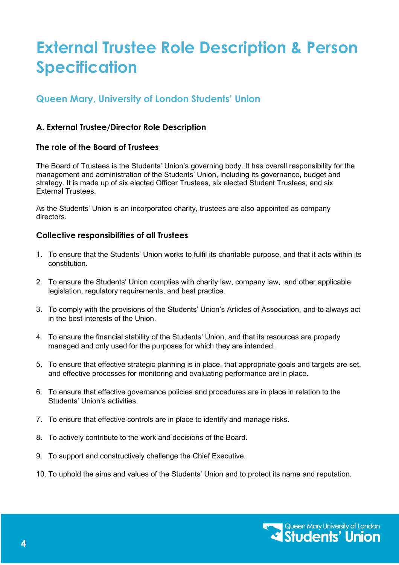### **External Trustee Role Description & Person Specification**

### **Queen Mary, University of London Students' Union**

#### **A. External Trustee/Director Role Description**

#### **The role of the Board of Trustees**

The Board of Trustees is the Students' Union's governing body. It has overall responsibility for the management and administration of the Students' Union, including its governance, budget and strategy. It is made up of six elected Officer Trustees, six elected Student Trustees, and six External Trustees.

As the Students' Union is an incorporated charity, trustees are also appointed as company directors.

#### **Collective responsibilities of all Trustees**

- 1. To ensure that the Students' Union works to fulfil its charitable purpose, and that it acts within its constitution.
- 2. To ensure the Students' Union complies with charity law, company law, and other applicable legislation, regulatory requirements, and best practice.
- 3. To comply with the provisions of the Students' Union's Articles of Association, and to always act in the best interests of the Union.
- 4. To ensure the financial stability of the Students' Union, and that its resources are properly managed and only used for the purposes for which they are intended.
- 5. To ensure that effective strategic planning is in place, that appropriate goals and targets are set, and effective processes for monitoring and evaluating performance are in place.
- 6. To ensure that effective governance policies and procedures are in place in relation to the Students' Union's activities.
- 7. To ensure that effective controls are in place to identify and manage risks.
- 8. To actively contribute to the work and decisions of the Board.
- 9. To support and constructively challenge the Chief Executive.
- 10. To uphold the aims and values of the Students' Union and to protect its name and reputation.

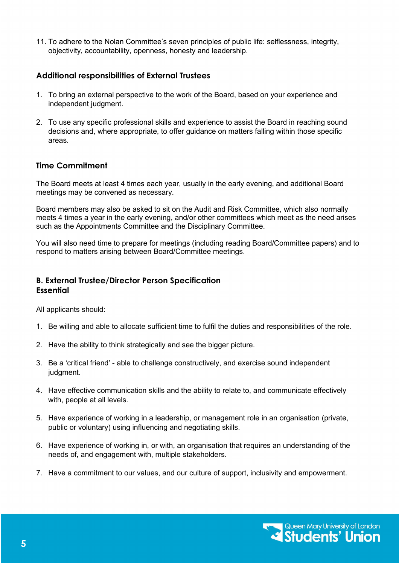11. To adhere to the Nolan Committee's seven principles of public life: selflessness, integrity, objectivity, accountability, openness, honesty and leadership.

#### **Additional responsibilities of External Trustees**

- 1. To bring an external perspective to the work of the Board, based on your experience and independent judgment.
- 2. To use any specific professional skills and experience to assist the Board in reaching sound decisions and, where appropriate, to offer guidance on matters falling within those specific areas.

#### **Time Commitment**

The Board meets at least 4 times each year, usually in the early evening, and additional Board meetings may be convened as necessary.

Board members may also be asked to sit on the Audit and Risk Committee, which also normally meets 4 times a year in the early evening, and/or other committees which meet as the need arises such as the Appointments Committee and the Disciplinary Committee.

You will also need time to prepare for meetings (including reading Board/Committee papers) and to respond to matters arising between Board/Committee meetings.

#### **B. External Trustee/Director Person Specification Essential**

All applicants should:

- 1. Be willing and able to allocate sufficient time to fulfil the duties and responsibilities of the role.
- 2. Have the ability to think strategically and see the bigger picture.
- 3. Be a 'critical friend' able to challenge constructively, and exercise sound independent judgment.
- 4. Have effective communication skills and the ability to relate to, and communicate effectively with, people at all levels.
- 5. Have experience of working in a leadership, or management role in an organisation (private, public or voluntary) using influencing and negotiating skills.
- 6. Have experience of working in, or with, an organisation that requires an understanding of the needs of, and engagement with, multiple stakeholders.
- 7. Have a commitment to our values, and our culture of support, inclusivity and empowerment.

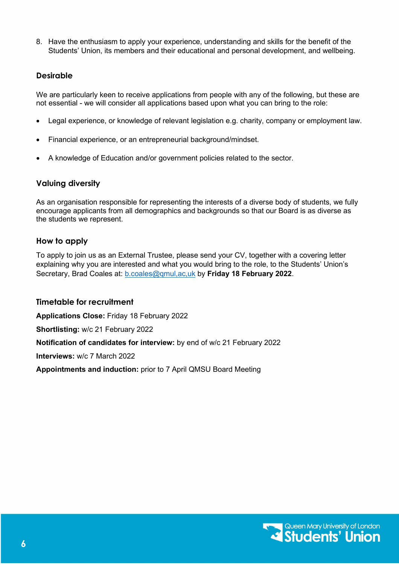8. Have the enthusiasm to apply your experience, understanding and skills for the benefit of the Students' Union, its members and their educational and personal development, and wellbeing.

#### **Desirable**

We are particularly keen to receive applications from people with any of the following, but these are not essential - we will consider all applications based upon what you can bring to the role:

- Legal experience, or knowledge of relevant legislation e.g. charity, company or employment law.
- Financial experience, or an entrepreneurial background/mindset.
- A knowledge of Education and/or government policies related to the sector.

#### **Valuing diversity**

As an organisation responsible for representing the interests of a diverse body of students, we fully encourage applicants from all demographics and backgrounds so that our Board is as diverse as the students we represent.

#### **How to apply**

To apply to join us as an External Trustee, please send your CV, together with a covering letter explaining why you are interested and what you would bring to the role, to the Students' Union's Secretary, Brad Coales at: [b.coales@qmul,ac,uk](mailto:b.coales@qmul,ac,uk) by **Friday 18 February 2022**.

#### **Timetable for recruitment**

**Applications Close:** Friday 18 February 2022

**Shortlisting:** w/c 21 February 2022

**Notification of candidates for interview:** by end of w/c 21 February 2022

**Interviews:** w/c 7 March 2022

**Appointments and induction:** prior to 7 April QMSU Board Meeting

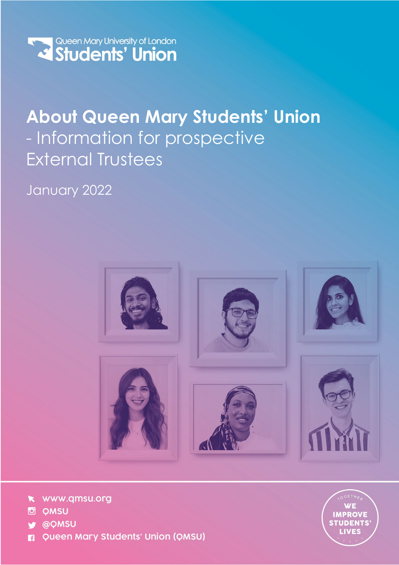

## **About Queen Mary Students' Union** - Information for prospective External Trustees

January 2022



- www.qmsu.org  $\mathbf{x}$
- **OMSU**  $\bullet$
- @QMSU
- Queen Mary Students' Union (QMSU) n

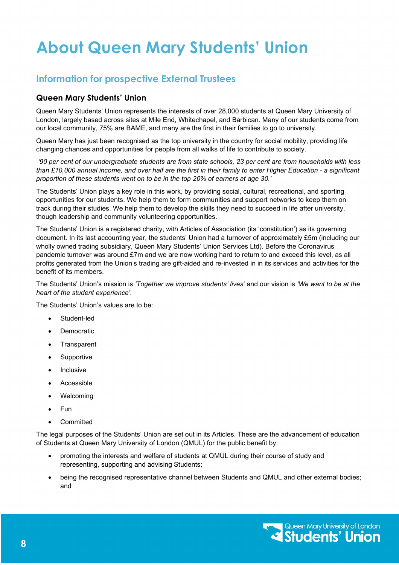## **About Queen Mary Students' Union**

### **Information for prospective External Trustees**

#### **Queen Mary Students' Union**

Queen Mary Students' Union represents the interests of over 28,000 students at Queen Mary University of London, largely based across sites at Mile End, Whitechapel, and Barbican. Many of our students come from our local community, 75% are BAME, and many are the first in their families to go to university.

Queen Mary has just been recognised as the top university in the country for social mobility, providing life changing chances and opportunities for people from all walks of life to contribute to society.

*'90 per cent of our undergraduate students are from state schools, 23 per cent are from households with less than £10,000 annual income, and over half are the first in their family to enter Higher Education - a significant proportion of these students went on to be in the top 20% of earners at age 30.'*

The Students' Union plays a key role in this work, by providing social, cultural, recreational, and sporting opportunities for our students. We help them to form communities and support networks to keep them on track during their studies. We help them to develop the skills they need to succeed in life after university, though leadership and community volunteering opportunities.

The Students' Union is a registered charity, with Articles of Association (its 'constitution') as its governing document. In its last accounting year, the students' Union had a turnover of approximately £5m (including our wholly owned trading subsidiary, Queen Mary Students' Union Services Ltd). Before the Coronavirus pandemic turnover was around £7m and we are now working hard to return to and exceed this level, as all profits generated from the Union's trading are gift-aided and re-invested in in its services and activities for the benefit of its members.

The Students' Union's mission is *'Together we improve students' lives'* and our vision is *'We want to be at the heart of the student experience'.*

The Students' Union's values are to be:

- Student-led
- **Democratic**
- **Transparent**
- Supportive
- **Inclusive**
- **Accessible**
- **Welcoming**
- Fun
- **Committed**

The legal purposes of the Students' Union are set out in its Articles. These are the advancement of education of Students at Queen Mary University of London (QMUL) for the public benefit by:

- promoting the interests and welfare of students at QMUL during their course of study and representing, supporting and advising Students;
- being the recognised representative channel between Students and QMUL and other external bodies; and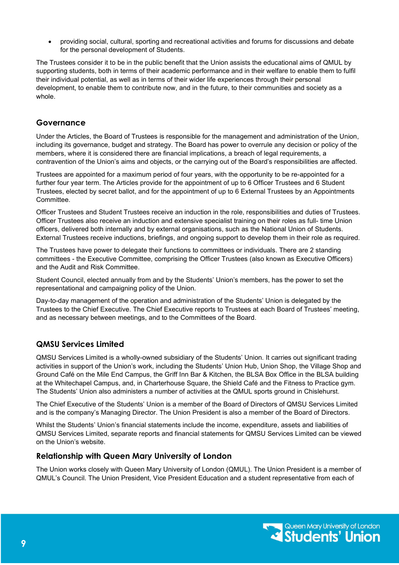• providing social, cultural, sporting and recreational activities and forums for discussions and debate for the personal development of Students.

The Trustees consider it to be in the public benefit that the Union assists the educational aims of QMUL by supporting students, both in terms of their academic performance and in their welfare to enable them to fulfil their individual potential, as well as in terms of their wider life experiences through their personal development, to enable them to contribute now, and in the future, to their communities and society as a whole.

#### **Governance**

Under the Articles, the Board of Trustees is responsible for the management and administration of the Union, including its governance, budget and strategy. The Board has power to overrule any decision or policy of the members, where it is considered there are financial implications, a breach of legal requirements, a contravention of the Union's aims and objects, or the carrying out of the Board's responsibilities are affected.

Trustees are appointed for a maximum period of four years, with the opportunity to be re-appointed for a further four year term. The Articles provide for the appointment of up to 6 Officer Trustees and 6 Student Trustees, elected by secret ballot, and for the appointment of up to 6 External Trustees by an Appointments Committee.

Officer Trustees and Student Trustees receive an induction in the role, responsibilities and duties of Trustees. Officer Trustees also receive an induction and extensive specialist training on their roles as full- time Union officers, delivered both internally and by external organisations, such as the National Union of Students. External Trustees receive inductions, briefings, and ongoing support to develop them in their role as required.

The Trustees have power to delegate their functions to committees or individuals. There are 2 standing committees - the Executive Committee, comprising the Officer Trustees (also known as Executive Officers) and the Audit and Risk Committee.

Student Council, elected annually from and by the Students' Union's members, has the power to set the representational and campaigning policy of the Union.

Day-to-day management of the operation and administration of the Students' Union is delegated by the Trustees to the Chief Executive. The Chief Executive reports to Trustees at each Board of Trustees' meeting, and as necessary between meetings, and to the Committees of the Board.

#### **QMSU Services Limited**

QMSU Services Limited is a wholly-owned subsidiary of the Students' Union. It carries out significant trading activities in support of the Union's work, including the Students' Union Hub, Union Shop, the Village Shop and Ground Café on the Mile End Campus, the Griff Inn Bar & Kitchen, the BLSA Box Office in the BLSA building at the Whitechapel Campus, and, in Charterhouse Square, the Shield Café and the Fitness to Practice gym. The Students' Union also administers a number of activities at the QMUL sports ground in Chislehurst.

The Chief Executive of the Students' Union is a member of the Board of Directors of QMSU Services Limited and is the company's Managing Director. The Union President is also a member of the Board of Directors.

Whilst the Students' Union's financial statements include the income, expenditure, assets and liabilities of QMSU Services Limited, separate reports and financial statements for QMSU Services Limited can be viewed on the Union's website.

#### **Relationship with Queen Mary University of London**

The Union works closely with Queen Mary University of London (QMUL). The Union President is a member of QMUL's Council. The Union President, Vice President Education and a student representative from each of

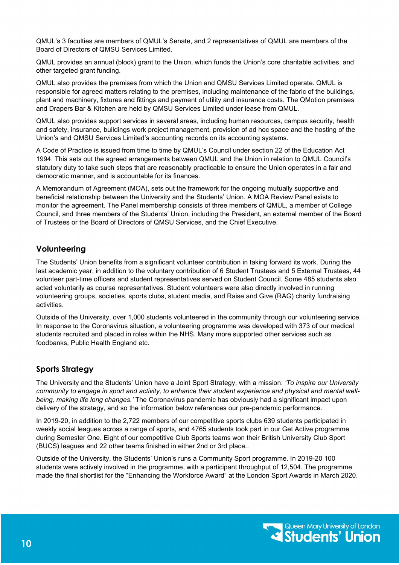QMUL's 3 faculties are members of QMUL's Senate, and 2 representatives of QMUL are members of the Board of Directors of QMSU Services Limited.

QMUL provides an annual (block) grant to the Union, which funds the Union's core charitable activities, and other targeted grant funding.

QMUL also provides the premises from which the Union and QMSU Services Limited operate. QMUL is responsible for agreed matters relating to the premises, including maintenance of the fabric of the buildings, plant and machinery, fixtures and fittings and payment of utility and insurance costs. The QMotion premises and Drapers Bar & Kitchen are held by QMSU Services Limited under lease from QMUL.

QMUL also provides support services in several areas, including human resources, campus security, health and safety, insurance, buildings work project management, provision of ad hoc space and the hosting of the Union's and QMSU Services Limited's accounting records on its accounting systems.

A Code of Practice is issued from time to time by QMUL's Council under section 22 of the Education Act 1994. This sets out the agreed arrangements between QMUL and the Union in relation to QMUL Council's statutory duty to take such steps that are reasonably practicable to ensure the Union operates in a fair and democratic manner, and is accountable for its finances.

A Memorandum of Agreement (MOA), sets out the framework for the ongoing mutually supportive and beneficial relationship between the University and the Students' Union. A MOA Review Panel exists to monitor the agreement. The Panel membership consists of three members of QMUL, a member of College Council, and three members of the Students' Union, including the President, an external member of the Board of Trustees or the Board of Directors of QMSU Services, and the Chief Executive.

#### **Volunteering**

The Students' Union benefits from a significant volunteer contribution in taking forward its work. During the last academic year, in addition to the voluntary contribution of 6 Student Trustees and 5 External Trustees, 44 volunteer part-time officers and student representatives served on Student Council. Some 485 students also acted voluntarily as course representatives. Student volunteers were also directly involved in running volunteering groups, societies, sports clubs, student media, and Raise and Give (RAG) charity fundraising activities.

Outside of the University, over 1,000 students volunteered in the community through our volunteering service. In response to the Coronavirus situation, a volunteering programme was developed with 373 of our medical students recruited and placed in roles within the NHS. Many more supported other services such as foodbanks, Public Health England etc.

#### **Sports Strategy**

The University and the Students' Union have a Joint Sport Strategy, with a mission: *'To inspire our University community to engage in sport and activity, to enhance their student experience and physical and mental wellbeing, making life long changes.'* The Coronavirus pandemic has obviously had a significant impact upon delivery of the strategy, and so the information below references our pre-pandemic performance.

In 2019-20, in addition to the 2,722 members of our competitive sports clubs 639 students participated in weekly social leagues across a range of sports, and 4765 students took part in our Get Active programme during Semester One. Eight of our competitive Club Sports teams won their British University Club Sport (BUCS) leagues and 22 other teams finished in either 2nd or 3rd place..

Outside of the University, the Students' Union's runs a Community Sport programme. In 2019-20 100 students were actively involved in the programme, with a participant throughput of 12,504. The programme made the final shortlist for the "Enhancing the Workforce Award" at the London Sport Awards in March 2020.